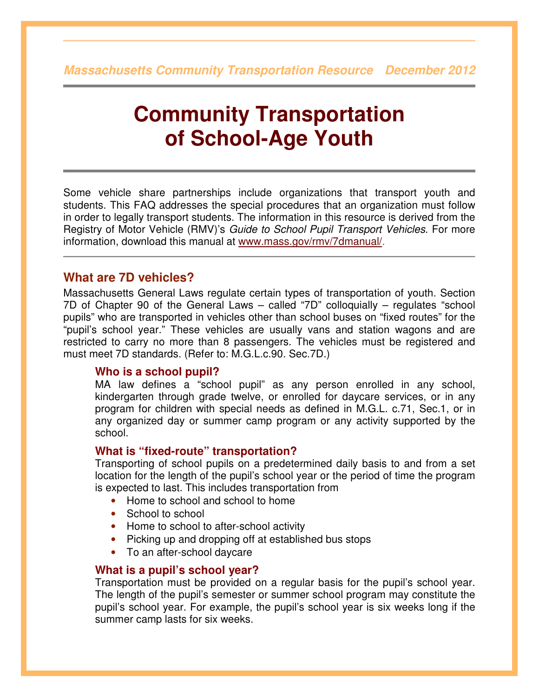**Massachusetts Community Transportation Resource December 2012**

# **Community Transportation of School-Age Youth**

Some vehicle share partnerships include organizations that transport youth and students. This FAQ addresses the special procedures that an organization must follow in order to legally transport students. The information in this resource is derived from the Registry of Motor Vehicle (RMV)'s Guide to School Pupil Transport Vehicles. For more information, download this manual at www.mass.gov/rmv/7dmanual/.

# **What are 7D vehicles?**

Massachusetts General Laws regulate certain types of transportation of youth. Section 7D of Chapter 90 of the General Laws – called "7D" colloquially – regulates "school pupils" who are transported in vehicles other than school buses on "fixed routes" for the "pupil's school year." These vehicles are usually vans and station wagons and are restricted to carry no more than 8 passengers. The vehicles must be registered and must meet 7D standards. (Refer to: M.G.L.c.90. Sec.7D.)

## **Who is a school pupil?**

MA law defines a "school pupil" as any person enrolled in any school, kindergarten through grade twelve, or enrolled for daycare services, or in any program for children with special needs as defined in M.G.L. c.71, Sec.1, or in any organized day or summer camp program or any activity supported by the school.

## **What is "fixed-route" transportation?**

Transporting of school pupils on a predetermined daily basis to and from a set location for the length of the pupil's school year or the period of time the program is expected to last. This includes transportation from

- Home to school and school to home
- School to school
- Home to school to after-school activity
- Picking up and dropping off at established bus stops
- To an after-school daycare

## **What is a pupil's school year?**

Transportation must be provided on a regular basis for the pupil's school year. The length of the pupil's semester or summer school program may constitute the pupil's school year. For example, the pupil's school year is six weeks long if the summer camp lasts for six weeks.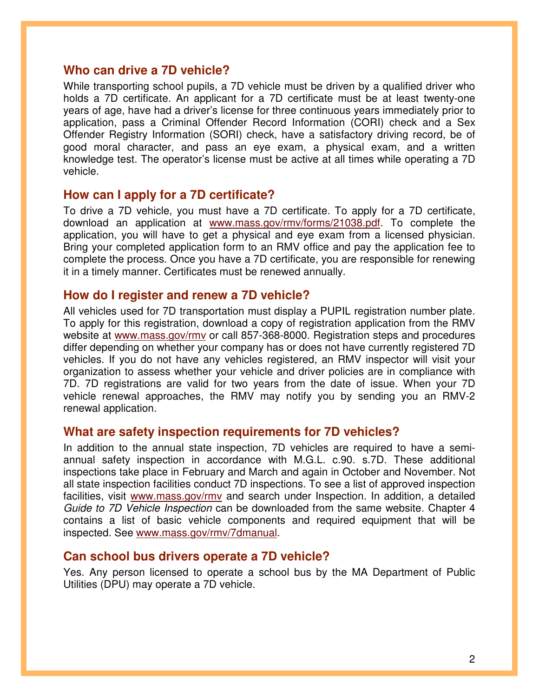## **Who can drive a 7D vehicle?**

While transporting school pupils, a 7D vehicle must be driven by a qualified driver who holds a 7D certificate. An applicant for a 7D certificate must be at least twenty-one years of age, have had a driver's license for three continuous years immediately prior to application, pass a Criminal Offender Record Information (CORI) check and a Sex Offender Registry Information (SORI) check, have a satisfactory driving record, be of good moral character, and pass an eye exam, a physical exam, and a written knowledge test. The operator's license must be active at all times while operating a 7D vehicle.

## **How can I apply for a 7D certificate?**

To drive a 7D vehicle, you must have a 7D certificate. To apply for a 7D certificate, download an application at www.mass.gov/rmv/forms/21038.pdf. To complete the application, you will have to get a physical and eye exam from a licensed physician. Bring your completed application form to an RMV office and pay the application fee to complete the process. Once you have a 7D certificate, you are responsible for renewing it in a timely manner. Certificates must be renewed annually.

## **How do I register and renew a 7D vehicle?**

All vehicles used for 7D transportation must display a PUPIL registration number plate. To apply for this registration, download a copy of registration application from the RMV website at www.mass.gov/rmv or call 857-368-8000. Registration steps and procedures differ depending on whether your company has or does not have currently registered 7D vehicles. If you do not have any vehicles registered, an RMV inspector will visit your organization to assess whether your vehicle and driver policies are in compliance with 7D. 7D registrations are valid for two years from the date of issue. When your 7D vehicle renewal approaches, the RMV may notify you by sending you an RMV-2 renewal application.

## **What are safety inspection requirements for 7D vehicles?**

In addition to the annual state inspection, 7D vehicles are required to have a semiannual safety inspection in accordance with M.G.L. c.90. s.7D. These additional inspections take place in February and March and again in October and November. Not all state inspection facilities conduct 7D inspections. To see a list of approved inspection facilities, visit www.mass.gov/rmv and search under Inspection. In addition, a detailed Guide to 7D Vehicle Inspection can be downloaded from the same website. Chapter 4 contains a list of basic vehicle components and required equipment that will be inspected. See www.mass.gov/rmv/7dmanual.

## **Can school bus drivers operate a 7D vehicle?**

Yes. Any person licensed to operate a school bus by the MA Department of Public Utilities (DPU) may operate a 7D vehicle.